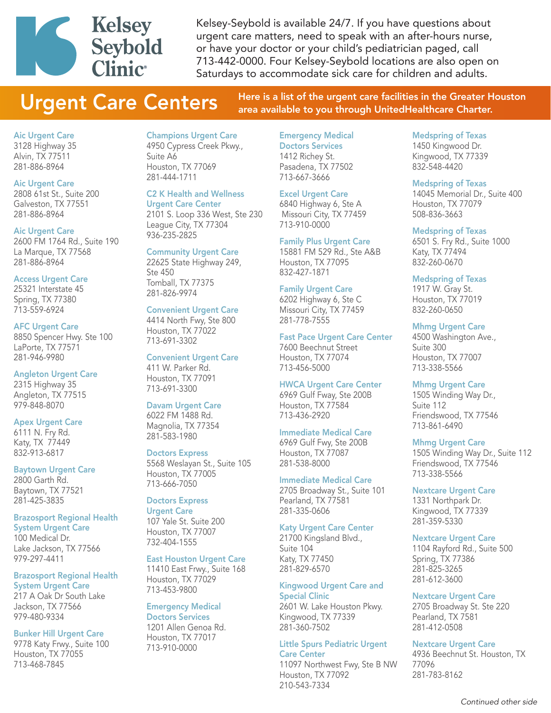

Kelsey-Seybold is available 24/7. If you have questions about urgent care matters, need to speak with an after-hours nurse, or have your doctor or your child's pediatrician paged, call 713-442-0000. Four Kelsey-Seybold locations are also open on Saturdays to accommodate sick care for children and adults.

Urgent Care Centers Here is a list of the urgent care facilities in the Greater Houston area available to you through UnitedHealthcare Charter.

#### Aic Urgent Care

3128 Highway 35 Alvin, TX 77511 281-886-8964

# Aic Urgent Care

2808 61st St., Suite 200 Galveston, TX 77551 281-886-8964

#### Aic Urgent Care

2600 FM 1764 Rd., Suite 190 La Marque, TX 77568 281-886-8964

#### Access Urgent Care

25321 Interstate 45 Spring, TX 77380 713-559-6924

#### AFC Urgent Care

8850 Spencer Hwy. Ste 100 LaPorte, TX 77571 281-946-9980

#### Angleton Urgent Care

2315 Highway 35 Angleton, TX 77515 979-848-8070

#### Apex Urgent Care

6111 N. Fry Rd. Katy, TX 77449 832-913-6817

#### Baytown Urgent Care

2800 Garth Rd. Baytown, TX 77521 281-425-3835

#### Brazosport Regional Health System Urgent Care

100 Medical Dr. Lake Jackson, TX 77566 979-297-4411

#### Brazosport Regional Health System Urgent Care

217 A Oak Dr South Lake Jackson, TX 77566 979-480-9334

#### Bunker Hill Urgent Care

9778 Katy Frwy., Suite 100 Houston, TX 77055 713-468-7845

Champions Urgent Care 4950 Cypress Creek Pkwy., Suite A6 Houston, TX 77069 281-444-1711

# C2 K Health and Wellness

Urgent Care Center 2101 S. Loop 336 West, Ste 230 League City, TX 77304 936-235-2825

#### Community Urgent Care

22625 State Highway 249, Ste 450 Tomball, TX 77375 281-826-9974

#### Convenient Urgent Care

4414 North Fwy, Ste 800 Houston, TX 77022 713-691-3302

# Convenient Urgent Care

411 W. Parker Rd. Houston, TX 77091 713-691-3300

# Davam Urgent Care

6022 FM 1488 Rd. Magnolia, TX 77354 281-583-1980

#### Doctors Express

5568 Weslayan St., Suite 105 Houston, TX 77005 713-666-7050

#### Doctors Express

Urgent Care 107 Yale St. Suite 200 Houston, TX 77007 732-404-1555

#### East Houston Urgent Care

11410 East Frwy., Suite 168 Houston, TX 77029 713-453-9800

#### Emergency Medical Doctors Services 1201 Allen Genoa Rd. Houston, TX 77017 713-910-0000

Doctors Services 1412 Richey St. Pasadena, TX 77502 713-667-3666

# Excel Urgent Care

6840 Highway 6, Ste A Missouri City, TX 77459 713-910-0000

#### Family Plus Urgent Care

15881 FM 529 Rd., Ste A&B Houston, TX 77095 832-427-1871

#### Family Urgent Care

6202 Highway 6, Ste C Missouri City, TX 77459 281-778-7555

#### Fast Pace Urgent Care Center

7600 Beechnut Street Houston, TX 77074 713-456-5000

#### HWCA Urgent Care Center

6969 Gulf Fway, Ste 200B Houston, TX 77584 713-436-2920

# Immediate Medical Care

6969 Gulf Fwy, Ste 200B Houston, TX 77087 281-538-8000

# Immediate Medical Care

2705 Broadway St., Suite 101 Pearland, TX 77581 281-335-0606

#### Katy Urgent Care Center

21700 Kingsland Blvd., Suite 104 Katy, TX 77450 281-829-6570

# Kingwood Urgent Care and Special Clinic

2601 W. Lake Houston Pkwy. Kingwood, TX 77339 281-360-7502

#### Little Spurs Pediatric Urgent Care Center

11097 Northwest Fwy, Ste B NW Houston, TX 77092 210-543-7334

# Medspring of Texas

1450 Kingwood Dr. Kingwood, TX 77339 832-548-4420

#### Medspring of Texas

14045 Memorial Dr., Suite 400 Houston, TX 77079 508-836-3663

#### Medspring of Texas

6501 S. Fry Rd., Suite 1000 Katy, TX 77494 832-260-0670

#### Medspring of Texas

1917 W. Gray St. Houston, TX 77019 832-260-0650

#### Mhmg Urgent Care

4500 Washington Ave., Suite 300 Houston, TX 77007 713-338-5566

## Mhmg Urgent Care

1505 Winding Way Dr., Suite 112 Friendswood, TX 77546 713-861-6490

#### Mhmg Urgent Care

1505 Winding Way Dr., Suite 112 Friendswood, TX 77546 713-338-5566

## Nextcare Urgent Care

1331 Northpark Dr. Kingwood, TX 77339 281-359-5330

#### Nextcare Urgent Care

1104 Rayford Rd., Suite 500 Spring, TX 77386 281-825-3265 281-612-3600

#### Nextcare Urgent Care

2705 Broadway St. Ste 220 Pearland, TX 7581 281-412-0508

#### Nextcare Urgent Care

4936 Beechnut St. Houston, TX 77096 281-783-8162

# Emergency Medical